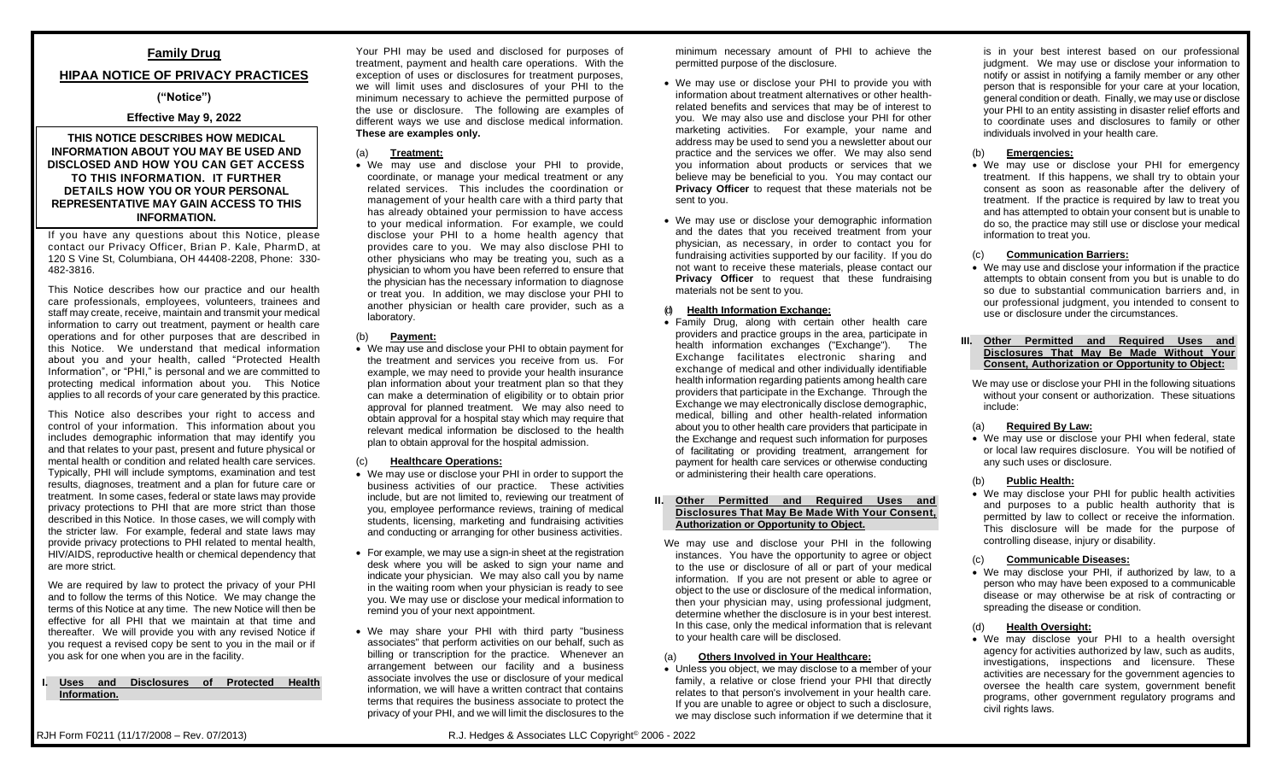# **Family Drug**

# **HIPAA NOTICE OF PRIVACY PRACTICES**

# **("Notice")**

# **Effective May 9, 2022**

# **THIS NOTICE DESCRIBES HOW MEDICAL INFORMATION ABOUT YOU MAY BE USED AND DISCLOSED AND HOW YOU CAN GET ACCESS TO THIS INFORMATION. IT FURTHER DETAILS HOW YOU OR YOUR PERSONAL REPRESENTATIVE MAY GAIN ACCESS TO THIS INFORMATION.**

If you have any questions about this Notice, please contact our Privacy Officer, Brian P. Kale, PharmD, at 120 S Vine St, Columbiana, OH 44408-2208, Phone: 330- 482-3816.

This Notice describes how our practice and our health care professionals, employees, volunteers, trainees and staff may create, receive, maintain and transmit your medical information to carry out treatment, payment or health care operations and for other purposes that are described in this Notice. We understand that medical information about you and your health, called "Protected Health Information", or "PHI," is personal and we are committed to protecting medical information about you. This Notice applies to all records of your care generated by this practice.

This Notice also describes your right to access and control of your information. This information about you includes demographic information that may identify you and that relates to your past, present and future physical or mental health or condition and related health care services. Typically, PHI will include symptoms, examination and test results, diagnoses, treatment and a plan for future care or treatment. In some cases, federal or state laws may provide privacy protections to PHI that are more strict than those described in this Notice. In those cases, we will comply with the stricter law. For example, federal and state laws may provide privacy protections to PHI related to mental health, HIV/AIDS, reproductive health or chemical dependency that are more strict.

We are required by law to protect the privacy of your PHI and to follow the terms of this Notice. We may change the terms of this Notice at any time. The new Notice will then be effective for all PHI that we maintain at that time and thereafter. We will provide you with any revised Notice if you request a revised copy be sent to you in the mail or if you ask for one when you are in the facility.

#### **I. Uses and Disclosures of Protected Health Information.**

Your PHI may be used and disclosed for purposes of treatment, payment and health care operations. With the exception of uses or disclosures for treatment purposes, we will limit uses and disclosures of your PHI to the minimum necessary to achieve the permitted purpose of the use or disclosure. The following are examples of different ways we use and disclose medical information. **These are examples only.**

## (a) **Treatment:**

• We may use and disclose your PHI to provide, coordinate, or manage your medical treatment or any related services. This includes the coordination or management of your health care with a third party that has already obtained your permission to have access to your medical information. For example, we could disclose your PHI to a home health agency that provides care to you. We may also disclose PHI to other physicians who may be treating you, such as a physician to whom you have been referred to ensure that the physician has the necessary information to diagnose or treat you. In addition, we may disclose your PHI to another physician or health care provider, such as a laboratory.

## (b) **Payment:**

• We may use and disclose your PHI to obtain payment for the treatment and services you receive from us. For example, we may need to provide your health insurance plan information about your treatment plan so that they can make a determination of eligibility or to obtain prior approval for planned treatment. We may also need to obtain approval for a hospital stay which may require that relevant medical information be disclosed to the health plan to obtain approval for the hospital admission.

#### (c) **Healthcare Operations:**

- We may use or disclose your PHI in order to support the business activities of our practice. These activities include, but are not limited to, reviewing our treatment of you, employee performance reviews, training of medical students, licensing, marketing and fundraising activities and conducting or arranging for other business activities.
- For example, we may use a sign-in sheet at the registration desk where you will be asked to sign your name and indicate your physician. We may also call you by name in the waiting room when your physician is ready to see you. We may use or disclose your medical information to remind you of your next appointment.
- We may share your PHI with third party "business associates" that perform activities on our behalf, such as billing or transcription for the practice. Whenever an arrangement between our facility and a business associate involves the use or disclosure of your medical information, we will have a written contract that contains terms that requires the business associate to protect the privacy of your PHI, and we will limit the disclosures to the

minimum necessary amount of PHI to achieve the permitted purpose of the disclosure.

- We may use or disclose your PHI to provide you with information about treatment alternatives or other healthrelated benefits and services that may be of interest to you. We may also use and disclose your PHI for other marketing activities. For example, your name and address may be used to send you a newsletter about our practice and the services we offer. We may also send you information about products or services that we believe may be beneficial to you. You may contact our **Privacy Officer** to request that these materials not be sent to you.
- We may use or disclose your demographic information and the dates that you received treatment from your physician, as necessary, in order to contact you for fundraising activities supported by our facility. If you do not want to receive these materials, please contact our **Privacy Officer** to request that these fundraising materials not be sent to you.

## (d) **Health Information Exchange:**

• Family Drug, along with certain other health care providers and practice groups in the area, participate in health information exchanges ("Exchange"). The Exchange facilitates electronic sharing and exchange of medical and other individually identifiable health information regarding patients among health care providers that participate in the Exchange. Through the Exchange we may electronically disclose demographic, medical, billing and other health-related information about you to other health care providers that participate in the Exchange and request such information for purposes of facilitating or providing treatment, arrangement for payment for health care services or otherwise conducting or administering their health care operations.

#### **II. Other Permitted and Required Uses and Disclosures That May Be Made With Your Consent, Authorization or Opportunity to Object.**

We may use and disclose your PHI in the following instances. You have the opportunity to agree or object to the use or disclosure of all or part of your medical information. If you are not present or able to agree or object to the use or disclosure of the medical information, then your physician may, using professional judgment, determine whether the disclosure is in your best interest. In this case, only the medical information that is relevant to your health care will be disclosed.

## (a) **Others Involved in Your Healthcare:**

• Unless you object, we may disclose to a member of your family, a relative or close friend your PHI that directly relates to that person's involvement in your health care. If you are unable to agree or object to such a disclosure, we may disclose such information if we determine that it

is in your best interest based on our professional judgment. We may use or disclose your information to notify or assist in notifying a family member or any other person that is responsible for your care at your location, general condition or death. Finally, we may use or disclose your PHI to an entity assisting in disaster relief efforts and to coordinate uses and disclosures to family or other individuals involved in your health care.

# (b) **Emergencies:**

• We may use or disclose your PHI for emergency treatment. If this happens, we shall try to obtain your consent as soon as reasonable after the delivery of treatment. If the practice is required by law to treat you and has attempted to obtain your consent but is unable to do so, the practice may still use or disclose your medical information to treat you.

## (c) **Communication Barriers:**

• We may use and disclose your information if the practice attempts to obtain consent from you but is unable to do so due to substantial communication barriers and, in our professional judgment, you intended to consent to use or disclosure under the circumstances.

#### **III. Other Permitted and Required Uses and Disclosures That May Be Made Without Your Consent, Authorization or Opportunity to Object:**

We may use or disclose your PHI in the following situations without your consent or authorization. These situations include:

## (a) **Required By Law:**

• We may use or disclose your PHI when federal, state or local law requires disclosure. You will be notified of any such uses or disclosure.

# (b) **Public Health:**

• We may disclose your PHI for public health activities and purposes to a public health authority that is permitted by law to collect or receive the information. This disclosure will be made for the purpose of controlling disease, injury or disability.

#### (c) **Communicable Diseases:**

• We may disclose your PHI, if authorized by law, to a person who may have been exposed to a communicable disease or may otherwise be at risk of contracting or spreading the disease or condition.

# (d) **Health Oversight:**

• We may disclose your PHI to a health oversight agency for activities authorized by law, such as audits, investigations, inspections and licensure. These activities are necessary for the government agencies to oversee the health care system, government benefit programs, other government regulatory programs and civil rights laws.

RJH Form F0211 (11/17/2008 – Rev. 07/2013) R.J. Hedges & Associates LLC Copyright© 2006 - 2022